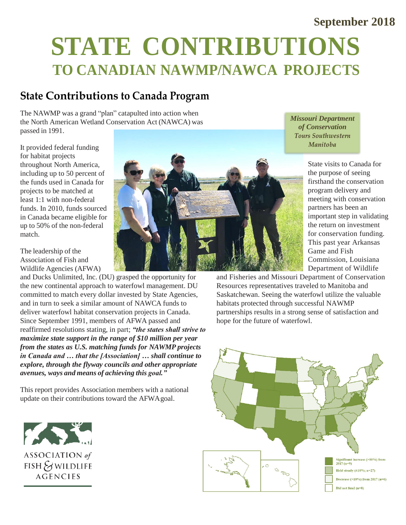#### **September 2018**

# **STATE CONTRIBUTIONS TO CANADIAN NAWMP/NAWCA PROJECTS**

## **State Contributions to Canada Program**

The NAWMP was a grand "plan" catapulted into action when the North American Wetland Conservation Act (NAWCA) was passed in 1991.

It provided federal funding for habitat projects throughout North America, including up to 50 percent of the funds used in Canada for projects to be matched at least 1:1 with non-federal funds. In 2010, funds sourced in Canada became eligible for up to 50% of the non-federal match.

The leadership of the Association of Fish and Wildlife Agencies (AFWA)

and Ducks Unlimited, Inc. (DU) grasped the opportunity for the new continental approach to waterfowl management. DU committed to match every dollar invested by State Agencies, and in turn to seek a similar amount of NAWCA funds to deliver waterfowl habitat conservation projects in Canada. Since September 1991, members of AFWA passed and reaffirmed resolutions stating, in part; *"the states shall strive to maximize state support in the range of \$10 million per year from the states as U.S. matching funds for NAWMP projects in Canada and … that the [Association] … shall continue to explore, through the flyway councils and other appropriate avenues, ways and means of achieving this goal."*

This report provides Association members with a national update on their contributions toward the AFWAgoal.





*Missouri Department of Conservation***Tours Southwestern Manitoha** 

> State visits to Canada for the purpose of seeing firsthand the conservation program delivery and meeting with conservation partners has been an important step in validating the return on investment for conservation funding. This past year Arkansas Game and Fish Commission, Louisiana Department of Wildlife

and Fisheries and Missouri Department of Conservation Resources representatives traveled to Manitoba and Saskatchewan. Seeing the waterfowl utilize the valuable habitats protected through successful NAWMP partnerships results in a strong sense of satisfaction and hope for the future of waterfowl.